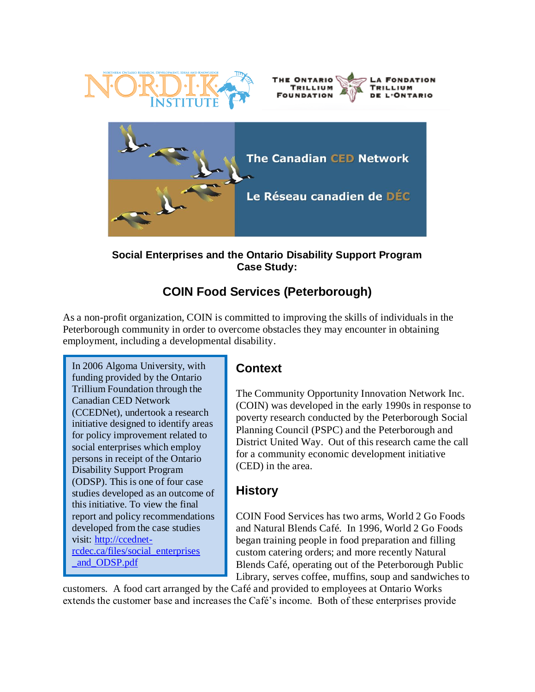





**Social Enterprises and the Ontario Disability Support Program Case Study:**

# **COIN Food Services (Peterborough)**

As a non-profit organization, COIN is committed to improving the skills of individuals in the Peterborough community in order to overcome obstacles they may encounter in obtaining employment, including a developmental disability.

In 2006 Algoma University, with funding provided by the Ontario Trillium Foundation through the Canadian CED Network (CCEDNet), undertook a research initiative designed to identify areas for policy improvement related to social enterprises which employ persons in receipt of the Ontario Disability Support Program (ODSP). This is one of four case studies developed as an outcome of this initiative. To view the final report and policy recommendations developed from the case studies visit: [http://ccednet](http://ccednet-rcdec.ca/files/social_enterprises%0b_and_ODSP.pdf)[rcdec.ca/files/social\\_enterprises](http://ccednet-rcdec.ca/files/social_enterprises%0b_and_ODSP.pdf) [\\_and\\_ODSP.pdf](http://ccednet-rcdec.ca/files/social_enterprises%0b_and_ODSP.pdf)

## **Context**

The Community Opportunity Innovation Network Inc. (COIN) was developed in the early 1990s in response to poverty research conducted by the Peterborough Social Planning Council (PSPC) and the Peterborough and District United Way. Out of this research came the call for a community economic development initiative (CED) in the area.

## **History**

COIN Food Services has two arms, World 2 Go Foods and Natural Blends Café. In 1996, World 2 Go Foods began training people in food preparation and filling custom catering orders; and more recently Natural Blends Café, operating out of the Peterborough Public Library, serves coffee, muffins, soup and sandwiches to

customers. A food cart arranged by the Café and provided to employees at Ontario Works extends the customer base and increases the Café's income. Both of these enterprises provide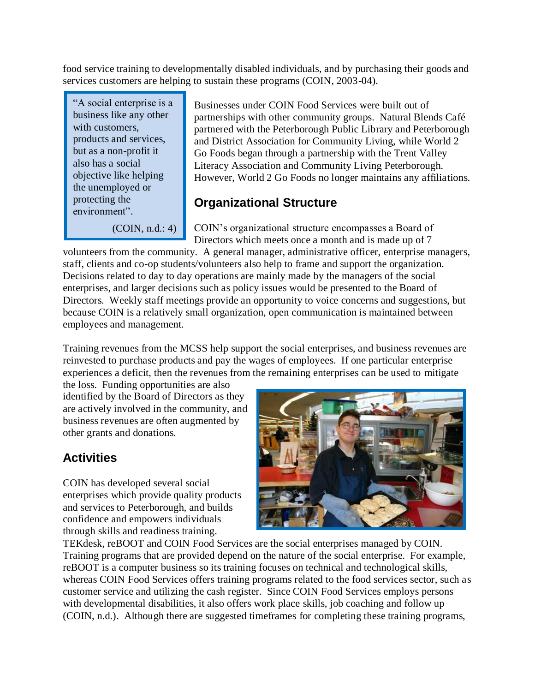food service training to developmentally disabled individuals, and by purchasing their goods and services customers are helping to sustain these programs (COIN, 2003-04).

"A social enterprise is a business like any other with customers. products and services, but as a non-profit it also has a social objective like helping the unemployed or protecting the environment".

(COIN, n.d.: 4)

Businesses under COIN Food Services were built out of partnerships with other community groups. Natural Blends Café partnered with the Peterborough Public Library and Peterborough and District Association for Community Living, while World 2 Go Foods began through a partnership with the Trent Valley Literacy Association and Community Living Peterborough. However, World 2 Go Foods no longer maintains any affiliations.

#### **Organizational Structure**

COIN's organizational structure encompasses a Board of Directors which meets once a month and is made up of 7

volunteers from the community. A general manager, administrative officer, enterprise managers, staff, clients and co-op students/volunteers also help to frame and support the organization. Decisions related to day to day operations are mainly made by the managers of the social enterprises, and larger decisions such as policy issues would be presented to the Board of Directors. Weekly staff meetings provide an opportunity to voice concerns and suggestions, but because COIN is a relatively small organization, open communication is maintained between employees and management.

Training revenues from the MCSS help support the social enterprises, and business revenues are reinvested to purchase products and pay the wages of employees. If one particular enterprise experiences a deficit, then the revenues from the remaining enterprises can be used to mitigate

the loss. Funding opportunities are also identified by the Board of Directors as they are actively involved in the community, and business revenues are often augmented by other grants and donations.

# **Activities**

COIN has developed several social enterprises which provide quality products and services to Peterborough, and builds confidence and empowers individuals through skills and readiness training.



TEKdesk, reBOOT and COIN Food Services are the social enterprises managed by COIN. Training programs that are provided depend on the nature of the social enterprise. For example, reBOOT is a computer business so its training focuses on technical and technological skills, whereas COIN Food Services offers training programs related to the food services sector, such as customer service and utilizing the cash register. Since COIN Food Services employs persons with developmental disabilities, it also offers work place skills, job coaching and follow up (COIN, n.d.). Although there are suggested timeframes for completing these training programs,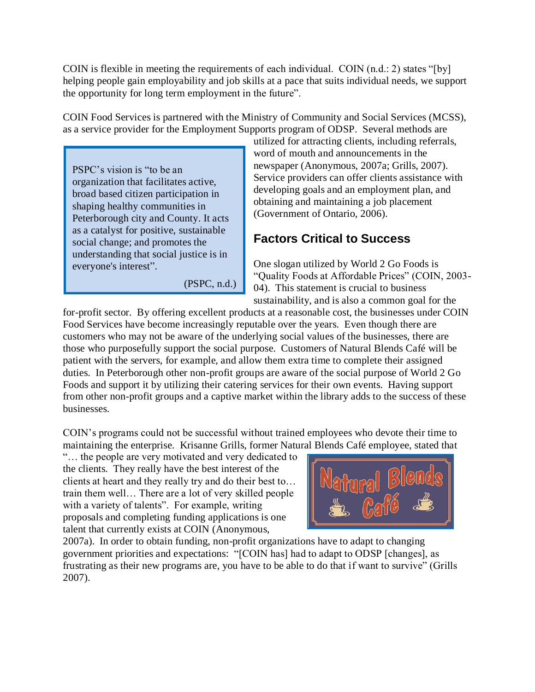COIN is flexible in meeting the requirements of each individual. COIN  $(n.d.: 2)$  states "[by] helping people gain employability and job skills at a pace that suits individual needs, we support the opportunity for long term employment in the future".

COIN Food Services is partnered with the Ministry of Community and Social Services (MCSS), as a service provider for the Employment Supports program of ODSP. Several methods are

PSPC's vision is "to be an organization that facilitates active, broad based citizen participation in shaping healthy communities in Peterborough city and County. It acts as a catalyst for positive, sustainable social change; and promotes the understanding that social justice is in everyone's interest".

(PSPC, n.d.)

utilized for attracting clients, including referrals, word of mouth and announcements in the newspaper (Anonymous, 2007a; Grills, 2007). Service providers can offer clients assistance with developing goals and an employment plan, and obtaining and maintaining a job placement (Government of Ontario, 2006).

# **Factors Critical to Success**

One slogan utilized by World 2 Go Foods is "Quality Foods at Affordable Prices" (COIN, 2003- 04). This statement is crucial to business sustainability, and is also a common goal for the

for-profit sector. By offering excellent products at a reasonable cost, the businesses under COIN Food Services have become increasingly reputable over the years. Even though there are customers who may not be aware of the underlying social values of the businesses, there are those who purposefully support the social purpose. Customers of Natural Blends Café will be patient with the servers, for example, and allow them extra time to complete their assigned duties. In Peterborough other non-profit groups are aware of the social purpose of World 2 Go Foods and support it by utilizing their catering services for their own events. Having support from other non-profit groups and a captive market within the library adds to the success of these businesses.

COIN's programs could not be successful without trained employees who devote their time to maintaining the enterprise. Krisanne Grills, former Natural Blends Café employee, stated that

"… the people are very motivated and very dedicated to the clients. They really have the best interest of the clients at heart and they really try and do their best to… train them well… There are a lot of very skilled people with a variety of talents". For example, writing proposals and completing funding applications is one talent that currently exists at COIN (Anonymous,



2007a). In order to obtain funding, non-profit organizations have to adapt to changing government priorities and expectations: "[COIN has] had to adapt to ODSP [changes], as frustrating as their new programs are, you have to be able to do that if want to survive" (Grills 2007).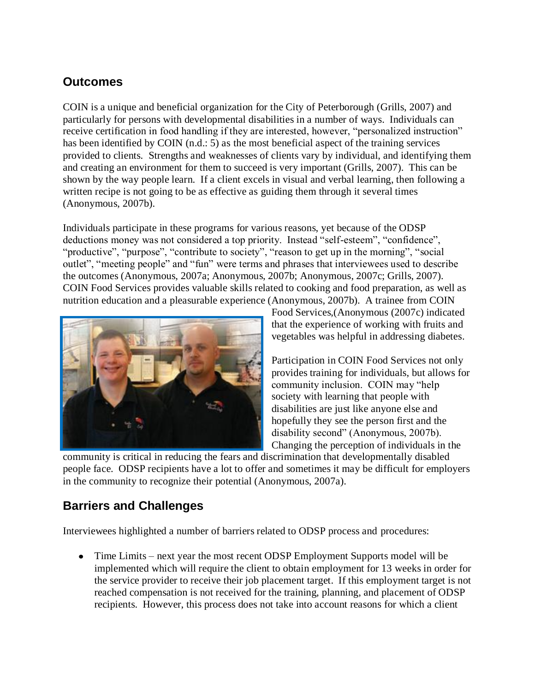#### **Outcomes**

COIN is a unique and beneficial organization for the City of Peterborough (Grills, 2007) and particularly for persons with developmental disabilities in a number of ways. Individuals can receive certification in food handling if they are interested, however, "personalized instruction" has been identified by COIN (n.d.: 5) as the most beneficial aspect of the training services provided to clients. Strengths and weaknesses of clients vary by individual, and identifying them and creating an environment for them to succeed is very important (Grills, 2007). This can be shown by the way people learn. If a client excels in visual and verbal learning, then following a written recipe is not going to be as effective as guiding them through it several times (Anonymous, 2007b).

Individuals participate in these programs for various reasons, yet because of the ODSP deductions money was not considered a top priority. Instead "self-esteem", "confidence", "productive", "purpose", "contribute to society", "reason to get up in the morning", "social outlet", "meeting people" and "fun" were terms and phrases that interviewees used to describe the outcomes (Anonymous, 2007a; Anonymous, 2007b; Anonymous, 2007c; Grills, 2007). COIN Food Services provides valuable skills related to cooking and food preparation, as well as nutrition education and a pleasurable experience (Anonymous, 2007b). A trainee from COIN



Food Services,(Anonymous (2007c) indicated that the experience of working with fruits and vegetables was helpful in addressing diabetes.

Participation in COIN Food Services not only provides training for individuals, but allows for community inclusion. COIN may "help society with learning that people with disabilities are just like anyone else and hopefully they see the person first and the disability second" (Anonymous, 2007b). Changing the perception of individuals in the

community is critical in reducing the fears and discrimination that developmentally disabled people face. ODSP recipients have a lot to offer and sometimes it may be difficult for employers in the community to recognize their potential (Anonymous, 2007a).

## **Barriers and Challenges**

Interviewees highlighted a number of barriers related to ODSP process and procedures:

• Time Limits – next year the most recent ODSP Employment Supports model will be implemented which will require the client to obtain employment for 13 weeks in order for the service provider to receive their job placement target. If this employment target is not reached compensation is not received for the training, planning, and placement of ODSP recipients. However, this process does not take into account reasons for which a client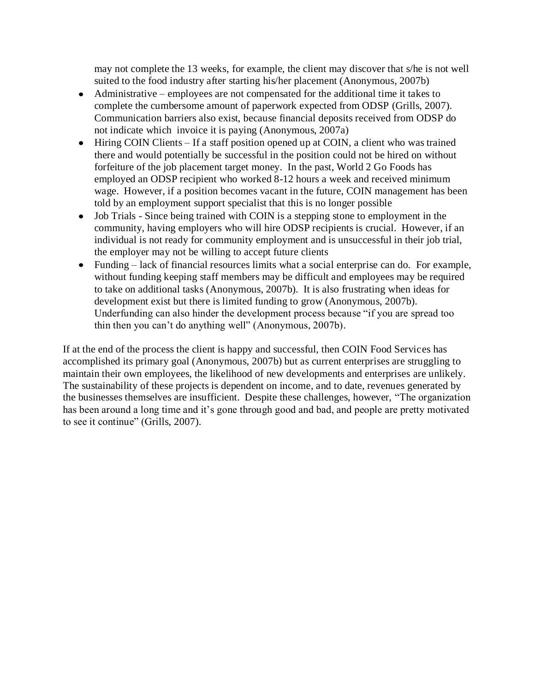may not complete the 13 weeks, for example, the client may discover that s/he is not well suited to the food industry after starting his/her placement (Anonymous, 2007b)

- Administrative employees are not compensated for the additional time it takes to complete the cumbersome amount of paperwork expected from ODSP (Grills, 2007). Communication barriers also exist, because financial deposits received from ODSP do not indicate which invoice it is paying (Anonymous, 2007a)
- Hiring COIN Clients If a staff position opened up at COIN, a client who was trained there and would potentially be successful in the position could not be hired on without forfeiture of the job placement target money. In the past, World 2 Go Foods has employed an ODSP recipient who worked 8-12 hours a week and received minimum wage. However, if a position becomes vacant in the future, COIN management has been told by an employment support specialist that this is no longer possible
- Job Trials Since being trained with COIN is a stepping stone to employment in the community, having employers who will hire ODSP recipients is crucial. However, if an individual is not ready for community employment and is unsuccessful in their job trial, the employer may not be willing to accept future clients
- Funding lack of financial resources limits what a social enterprise can do. For example, without funding keeping staff members may be difficult and employees may be required to take on additional tasks (Anonymous, 2007b). It is also frustrating when ideas for development exist but there is limited funding to grow (Anonymous, 2007b). Underfunding can also hinder the development process because "if you are spread too thin then you can't do anything well" (Anonymous, 2007b).

If at the end of the process the client is happy and successful, then COIN Food Services has accomplished its primary goal (Anonymous, 2007b) but as current enterprises are struggling to maintain their own employees, the likelihood of new developments and enterprises are unlikely. The sustainability of these projects is dependent on income, and to date, revenues generated by the businesses themselves are insufficient. Despite these challenges, however, "The organization has been around a long time and it's gone through good and bad, and people are pretty motivated to see it continue" (Grills, 2007).